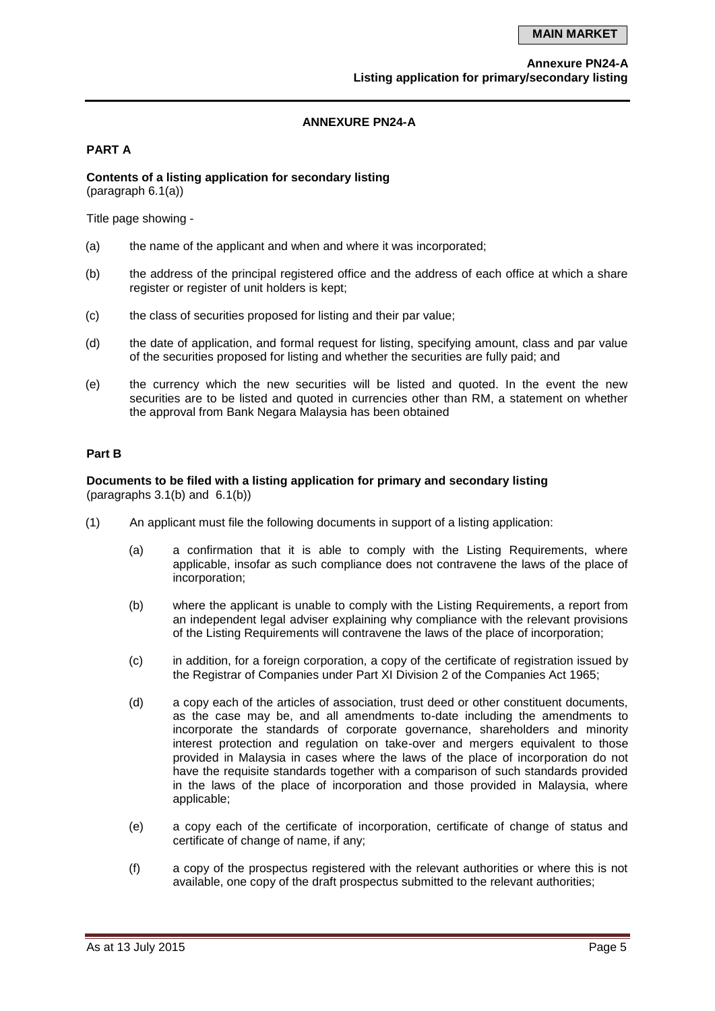#### **ANNEXURE PN24-A**

#### **PART A**

# **Contents of a listing application for secondary listing**

(paragraph 6.1(a))

Title page showing -

- (a) the name of the applicant and when and where it was incorporated;
- (b) the address of the principal registered office and the address of each office at which a share register or register of unit holders is kept:
- (c) the class of securities proposed for listing and their par value;
- (d) the date of application, and formal request for listing, specifying amount, class and par value of the securities proposed for listing and whether the securities are fully paid; and
- (e) the currency which the new securities will be listed and quoted. In the event the new securities are to be listed and quoted in currencies other than RM, a statement on whether the approval from Bank Negara Malaysia has been obtained

# **Part B**

#### **Documents to be filed with a listing application for primary and secondary listing** (paragraphs 3.1(b) and 6.1(b))

- (1) An applicant must file the following documents in support of a listing application:
	- (a) a confirmation that it is able to comply with the Listing Requirements, where applicable, insofar as such compliance does not contravene the laws of the place of incorporation;
	- (b) where the applicant is unable to comply with the Listing Requirements, a report from an independent legal adviser explaining why compliance with the relevant provisions of the Listing Requirements will contravene the laws of the place of incorporation;
	- (c) in addition, for a foreign corporation, a copy of the certificate of registration issued by the Registrar of Companies under Part XI Division 2 of the Companies Act 1965;
	- (d) a copy each of the articles of association, trust deed or other constituent documents, as the case may be, and all amendments to-date including the amendments to incorporate the standards of corporate governance, shareholders and minority interest protection and regulation on take-over and mergers equivalent to those provided in Malaysia in cases where the laws of the place of incorporation do not have the requisite standards together with a comparison of such standards provided in the laws of the place of incorporation and those provided in Malaysia, where applicable;
	- (e) a copy each of the certificate of incorporation, certificate of change of status and certificate of change of name, if any;
	- (f) a copy of the prospectus registered with the relevant authorities or where this is not available, one copy of the draft prospectus submitted to the relevant authorities;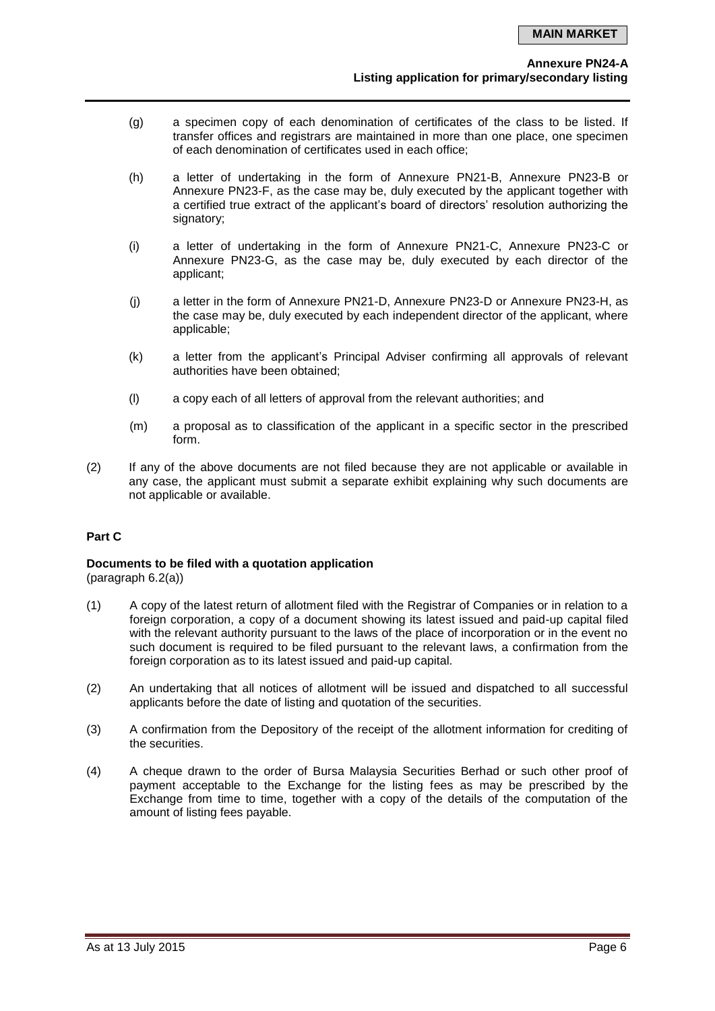- (g) a specimen copy of each denomination of certificates of the class to be listed. If transfer offices and registrars are maintained in more than one place, one specimen of each denomination of certificates used in each office;
- (h) a letter of undertaking in the form of Annexure PN21-B, Annexure PN23-B or Annexure PN23-F, as the case may be, duly executed by the applicant together with a certified true extract of the applicant's board of directors' resolution authorizing the signatory:
- (i) a letter of undertaking in the form of Annexure PN21-C, Annexure PN23-C or Annexure PN23-G, as the case may be, duly executed by each director of the applicant;
- (j) a letter in the form of Annexure PN21-D, Annexure PN23-D or Annexure PN23-H, as the case may be, duly executed by each independent director of the applicant, where applicable;
- (k) a letter from the applicant's Principal Adviser confirming all approvals of relevant authorities have been obtained;
- (l) a copy each of all letters of approval from the relevant authorities; and
- (m) a proposal as to classification of the applicant in a specific sector in the prescribed form.
- (2) If any of the above documents are not filed because they are not applicable or available in any case, the applicant must submit a separate exhibit explaining why such documents are not applicable or available.

# **Part C**

# **Documents to be filed with a quotation application**

(paragraph 6.2(a))

- (1) A copy of the latest return of allotment filed with the Registrar of Companies or in relation to a foreign corporation, a copy of a document showing its latest issued and paid-up capital filed with the relevant authority pursuant to the laws of the place of incorporation or in the event no such document is required to be filed pursuant to the relevant laws, a confirmation from the foreign corporation as to its latest issued and paid-up capital.
- (2) An undertaking that all notices of allotment will be issued and dispatched to all successful applicants before the date of listing and quotation of the securities.
- (3) A confirmation from the Depository of the receipt of the allotment information for crediting of the securities.
- (4) A cheque drawn to the order of Bursa Malaysia Securities Berhad or such other proof of payment acceptable to the Exchange for the listing fees as may be prescribed by the Exchange from time to time, together with a copy of the details of the computation of the amount of listing fees payable.